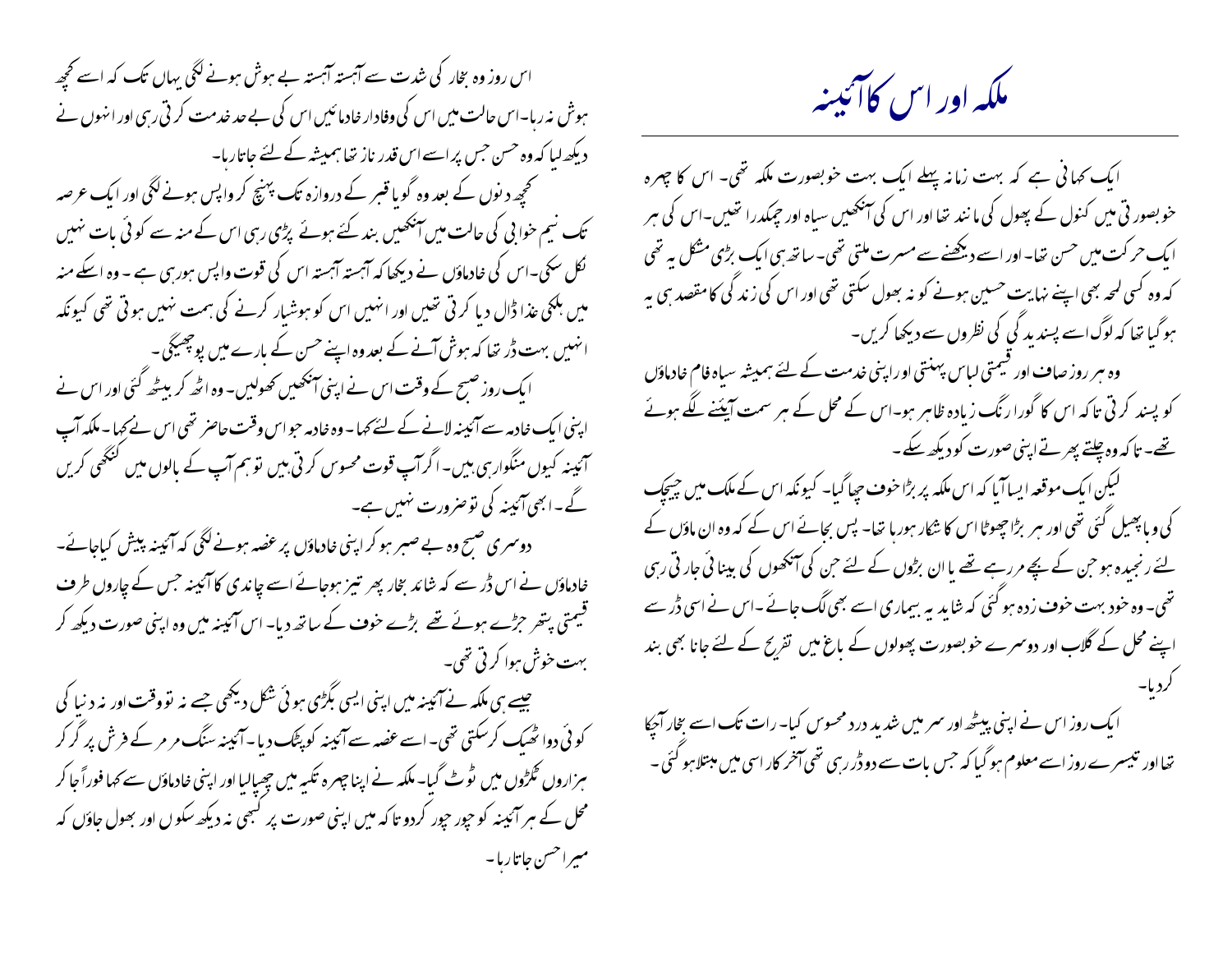اس روز وہ بخار کی شدت سے آہستہ آہستہ بے ہوش ہونے لگی بہاں تک کہ اسے کحچھ ہوش نہ رہا۔اس حالت میں اس کی وفادار خادمائیں اس کی بے حد خدمت کر تی رہی اور انہوں نے دیکھ لبا کہ وہ حسن حس پر اسے اس قدر ناز تھا ہمیشہ کے لئے جاتارہا۔ گھچھ دینوں کے بعد وہ گویا قبر کے دروازہ تک پہنچ کر واپس ہونے لگی اور ایک عرصہ تک نیم خوابی کی حالت میں آنکھیں بند کئے ہوئے پڑی رہی اس کے منہ سے کوئی بات نہیں نکل سکی۔اس کی خادماؤں نے دیکھا کہ آہستہ آہستہ اس کی قوت واپس ہورسی ہے ۔ وہ اسکے منہ میں ہلکی عذا ڈال دیا کرتی تھیں اور انہیں اس کو ہوشیار کرنے کی ہمت نہیں ہوتی تھی کیونکہ ائہیں بہت ڈر تھا کہ ہوش آنے کے بعدوہ اپنے حس کے بارے میں پوچھیکی۔ ایک روز صسح کے وقت اس نے اپنی اینجھیں کھولیں۔ وہ اٹھ کر بیٹھ گئی اور اس نے اپنی ایک خادمہ سے آئیینہ لانے کے لئے کہا - وہ خادمہ حواس وقت حاصر تھی اس نے کہا - ملکہ آپ آئینہ کیوں منگوار ہی ہیں۔اگر آپ قوت محسوس کرتی ہیں تو ہم آپ کے بالوں میں گنگھی کریں گے۔ابھی آئینہ کی توصرورت نہیں ہے۔ ِ دوسمری صبح وہ بے صبر ہو کراپنی خادماؤں پر عصہ ہونے لگی کہ آئینہ پیش کیاجائے۔ خادماؤں نے اس ڈر سے کہ شائد بخار پھر تیز ہوجائے اسے چاندی کا آئینہ جس کے چاروں طرف قیمتی بتھر حڑے ہوئے تھے بڑے خو**ف** کے ساتھ دیا- اس آئینہ میں وہ اپنی صورت دیکھ کر بهت خوش ہوا کر تی تھی۔ چیسے سی ملکہ نے آئیبنہ میں اپنی ایسی بگڑی ہوئی شکل دیکھی جسے نہ تووقت اور نہ د نیا کی کوئی دوا ٹھیک کرسکتی تھی۔اسے عضہ سے آئینہ کو پٹک دیا۔آئینہ سنگ مر مر کے فرش پر گر کر ہزاروں گلڑوں میں ٹوٹ گیا۔ ملکہ نے اپنا جہرہ تکیہ میں چھپالیا اور اپنی خادماؤں سے کہا فوراً جا کر محل کے مہر آئپینہ کو حیور حیور کردو تا کہ میں اپنی صورت پر کسجی نہ دیکھ سکو ں اور بھول حاؤں کہ مسراحسن جاتاريا-

ملکه اور اس کاآئینه

ابک کہا ٹی ہے کہ بہت زمانہ پہلے ایک بہت خوبصورت ملکہ تھی۔ اس کا چہرہ خو بصور تی میں کنول کے پھول کی ما نند تھا اور اس کی اینجھیں سیاہ اور جبکدرا تھیں۔اس کی ہر ایک حرکت میں حسن تھا۔اور اسے دیکھنے سے مسرت ملتی تھی۔ساتھ ہی ایک بڑی مشکل ہہ تھی کہ وہ کسی لمحہ بھی اپنے نہایت حسین ہونے کو نہ بھول سکتی تھی اور اس کی زند گی کامقصد ہی یہ ہوگیا تھا کہ لوگ اسے پسندید کی کی نظروں سے دیکھا کریں۔

وہ ہر روز صاف اور قیمتی لیاس پہنتی اوراپنی خدمت کے لئے ہمیشہ سیاہ فام خادماؤں کو پسند کرتی تاکہ اس کا گورا رنگ زیادہ ظاہر ہو۔اس کے محل کے ہر سمت آپیَنے لگے ہوئے تھے- تاکہ وہ چلتے پھرتے اپنی صورت کو دیکھ سکے۔

لیکن ایک موقعہ ایسا آیا کہ اس ملکہ پر بڑا حوف حیا گیا۔ کیونکہ اس کے ملک میں جیچک کی و ما پھیل گئی تھی اور مبر بڑا حچھوٹا اس کا شکار ہورہا تھا۔ پس بجائے اس کے کہ وہ ان ماؤں کے لئے رنجیدہ ہو حن کے بچے مررہے تھے یا ان بڑوں کے لئے حن کی آنکھوں کی بینائی جار تی رہی تھی۔ وہ خود بہت خوف زدہ ہو گئی کہ شاید بہ بیماری اسے بھی لگ جائے ۔اس نے اسی ڈر سے اپنے محل کے گلاب اور دوسمرے خوبصورت پھولوں کے ماغ میں تفریح کے لئے جانا بھی بند

ایک روز اس نے اپنی پیٹھ اور سمر میں شدید درد محسوس کیا- رات تک اسے بخار آجپا<br>تھااور تیسرے روز اسے معلوم ہو گیا کہ جس بات سے دوڈر رہی تھی آخر کار اسی میں مبتلا ہو گئی ۔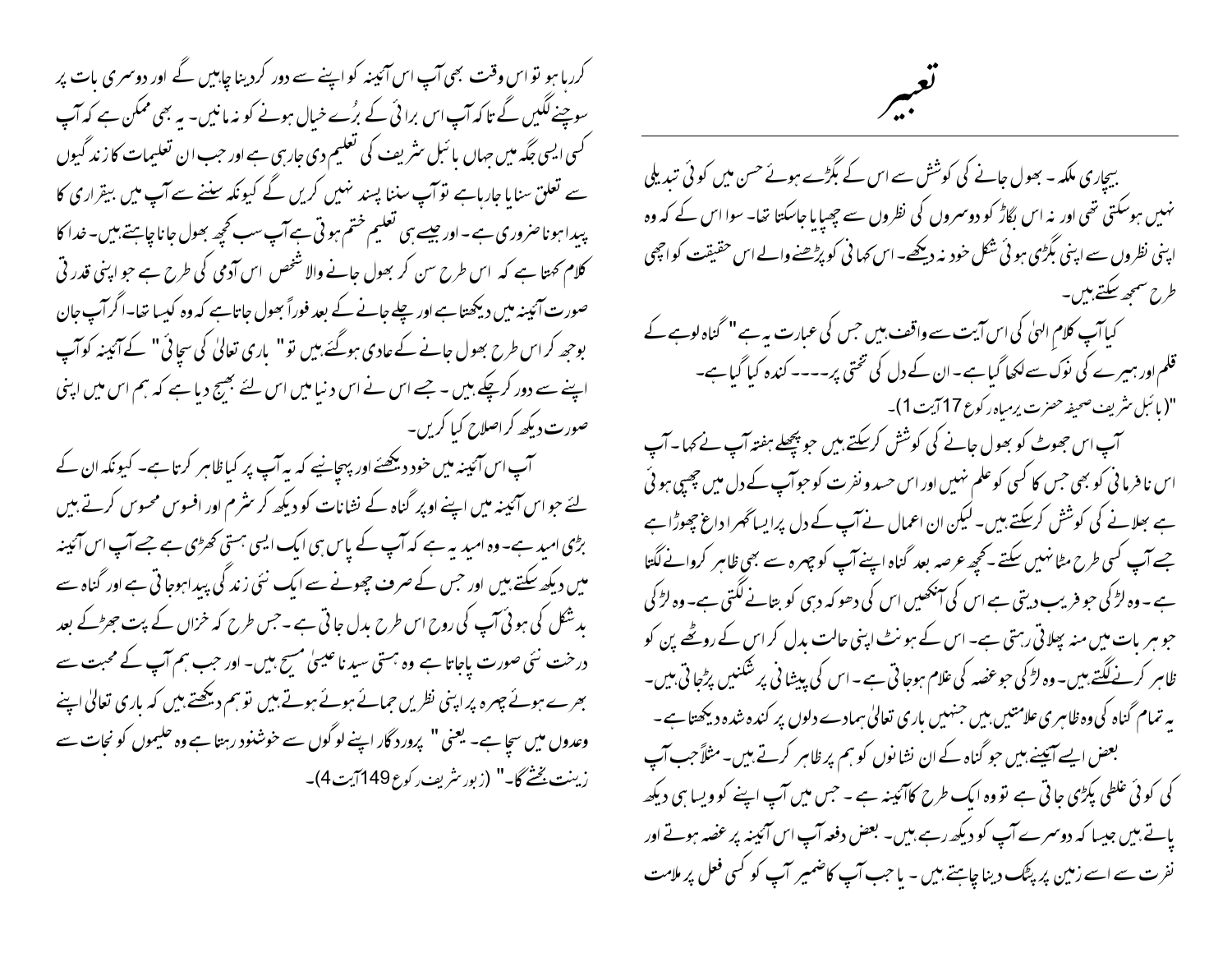کررہا ہو تو اس وقت بھی آپ اس آئینہ کو اپنے سے دور کردینا چاہیں گے اور دوسمری بات پر سوچنے لگیں گے تا کہ آپ اس برا ئی کے برُے خیال ہونے کو نہ مانیں۔ یہ بھی ممکن ہے کہ آپ گسی ایسی جگہ میں جہاں یا ئىبل سٹریف کی تعلیم دی جارہی ہے اور حب ان تعلیمات کا زند گیوں سے تعلق سنا ما جارہاہے توآپ سننا پسند نہیں کریں گے کیونکہ سننے سے آپ میں بیقراری کا پیدا ہوناصروری ہے۔اور جیسے ہی تعلیم ختم ہو تی ہے آپ سب کحچھ بھول جانا چاہتے بیں۔خدا کا کلام کھتا ہے کہ اس طرح سن کر بھول جانے والا شخص اس آدمی کی طرح ہے جو اپنی قدر تی صورت آئینہ میں دیکھتا ہے اور چلے جانے کے بعد فوراً بھول جاتاہے کہ وہ کیسا تھا۔اگرآپ جان بوحھ کر اس طرح بھول جانے کے عادی ہوگئے بیں نو" باری تعالیٰ کی سچائی" کے آئینہ کوآپ اپنے سے دور کرچکے ہیں ۔ جسے اس نے اس دنیا میں اس لئے بھیج دیا ہے کہ ہم اس میں اپنی صورت دیکھ کراصلاح کیا کریں۔

آپ اس آئیپنہ میں خود دیکھئے اور پہچانیے کہ یہ آپ پر کیاظاہر کرتا ہے۔ کیونکہ ان کے لئے حواس آئینہ میں اپنے اوپر گناہ کے نشانات کو دیکھ کر سٹرم اور افسوس محسوس کرتے ہیں بڑی امید ہے۔ وہ امید یہ ہے کہ آپ کے پاس ہی ایک ایسی ہستی کھڑی ہے جسے آپ اس آئینہ میں دیکھ سکتے ہیں اور حس کے صرف چھونے سے ایک نئی زند کی پیداہوجا تی ہے اور گناہ سے بدشکل کی ہوئی *آپ کی روح اس طرح* بدل جا تی ہے ۔حس طرح کہ خزاں کے پت *جھڑکے* بعد درخت نئی صورت یاجاتا ہے وہ ہستی سید ناعیسیٰ مسیح ہیں۔ اور حب ہم آپ کے محبت سے بھرے ہوئے جہرہ پراپنی نظریں حمائے ہوئے ہوتے ہیں تو ہم دیکھتے ہیں کہ باری تعالیٰ اپنے وعدوں میں سجا ہے۔ یعنی " پرورد گار اپنے لوگوں سے خوشنود رہتا ہے وہ حلیموں کو نجات سے زينت بُخْتُ كَا-" (زبور سْريف ركوع 149 آيت 4)-

## تعبير

بیچاری ملکہ۔ بھول جانے کی کوشش سے اس کے بگڑے ہوئے حسن میں کوئی تبدیلی نہیں ہوسکتی تھی اور نہ اس بگاڑ کو دوسمروں کی نظروں سے جھیا یا جاسکتا تھا۔ سوا اس کے کہ وہ ابنی نظروں سے اپنی بگڑی ہو ئی شکل خود نہ دیکھے۔اس کہا ٹی کو پڑھنے والے اس حقیقت کواچھی طرح سمجھ سکتے ہیں۔ کیا آپ کلام الہیٰ کی اس آیت سے واقف بیں جس کی عبارت بیہ ہے " گناہ لوہے کے قلم اور ہیرے کی نوک سے لکھا گیا ہے - ان کے دل کی تختی پر---- کندہ کیا گیا ہے-"(بائبل مثريف صحيفه حصرت يرمياه ركوع 17 آيت 1)-آپ اس جھوٹ کو بھول جانے کی کوشش کرسکتے ہیں جو پچھلے ہفتہ آپ نے کہا۔آپ اس نا فرما نی کو بھی جس کا کسی کوعلم نہیں اور اس حسد و نفر ت کو حوآپ کے دل میں چھپی ہو ئی ہے ہعلانے کی کوشش کرسکتے ہیں۔لیکن ان اعمال نے آپ کے دل پرایساٹھرا داغ چھوڑاہے جسے آپ کسی طرح مٹانہیں سکتے ۔کحچھ عرصہ بعد گناہ اپنے آپ کو چہرہ سے بھی ظاہر کروانے لگتا ہے ۔ وہ لڑ کی حبو فریب دیتی ہے اس کی اینکھیں اس کی دھو کہ دسی کو بتانے لگتی ہے۔ وہ لڑ کی حو ہر بات میں منہ پھلاتی رہتی ہے۔ اس کے ہو نٹ اپنی حالت بدل کر اس کے روٹھے پن کو ظاہر کرنے لگتے ہیں۔ وہ لڑ کی حبو عضہ کی علام ہوجا تی ہے ۔اس کی پیشا نی پر شکنیں پڑجا تی ہیں۔ بیہ تمام گناہ کی وہ ظاہر ی علامتیں بیں جنہیں باری تعالیٰ ہمادے دلوں پر کندہ شدہ دیکھتا ہے ۔ بعض ایسے آئیسے بیں حو گناہ کے ان نشانوں کو ہم پر ظاہر کرتے ہیں۔مثلاً حب آپ کی کوئی علطی پکڑی جاتی ہے تووہ ایک طرح کاآئینہ ہے ۔ حس میں آپ اپنے کو ویسا ہی دیکھ یاتے ہیں جیسا کہ دوسمرے آپ کو دیکھ رہے ہیں۔ بعض دفعہ آپ اس آئینہ پر عضہ ہوتے اور نفرت سے اسے زمین پر پٹک دینا چاہتے ہیں - یا حب آپ کاضمیر آپ کو کسی فعل پر ملامت